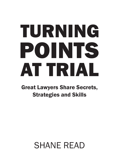# TURNING Points AT TRIAL

# Great Lawyers Share Secrets, Strategies and Skills

# SHANE READ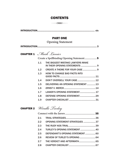#### C<sub>0</sub>

 $\overline{\text{R}}$ 

|  |                  | <b>PART ONE</b>                           |  |
|--|------------------|-------------------------------------------|--|
|  |                  | <b>Opening Statement</b>                  |  |
|  |                  |                                           |  |
|  |                  | <b>CHAPTER 1</b> Mark Lanier              |  |
|  |                  | Create a Spellbinding Opening Statement5  |  |
|  | 1.1              | THE BIGGEST MISTAKE LAWYERS MAKE          |  |
|  | 1.2 <sub>2</sub> |                                           |  |
|  | 1.3              | <b>HOW TO CHANGE BAD FACTS INTO</b>       |  |
|  | 1.4              |                                           |  |
|  | 1.5              | <b>DELIVERING AN OPENING STATEMENT 13</b> |  |
|  | 1.6              |                                           |  |
|  | 1.7              | LANIER'S OPENING STATEMENT 17             |  |
|  | 1.8              |                                           |  |
|  | 1.9              |                                           |  |
|  |                  | CHAPTER 2 Windle Zurley                   |  |
|  |                  |                                           |  |
|  | 2.1              |                                           |  |
|  | 2.2              | <b>OPENING STATEMENT STRATEGIES  37</b>   |  |
|  | 2.3              |                                           |  |

2.4 Turley's Opening Statement .........................40 2.5 Defendant's Opening Statement .................60 2.6 Review of Turley's Opening ..........................64 2.7 The Verdict and Aftermath...........................65 2.8 Chapter Checklist ............................................67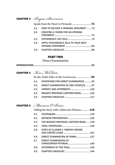|     | <b>CHAPTER 3</b> Bryan Stevenson            |     |
|-----|---------------------------------------------|-----|
|     |                                             |     |
| 3.1 | <b>HOW TO DELIVER A WINNING ARGUMENT 72</b> |     |
|     | 3.2 CREATING A THEME FOR AN OPENING         |     |
| 3.3 |                                             |     |
| 3.4 | APPLY STEVENSON'S TALK TO YOUR NEXT         |     |
| 3.5 |                                             | .85 |

#### Part Two

#### **Direct Examination**

|--|--|

|     | <b>CHAPTER 4</b> Fren McClain                                                                                                                                                                                                                                                                    |  |
|-----|--------------------------------------------------------------------------------------------------------------------------------------------------------------------------------------------------------------------------------------------------------------------------------------------------|--|
|     |                                                                                                                                                                                                                                                                                                  |  |
| 4.1 | STRATEGIES FOR DIRECT EXAMINATION  93                                                                                                                                                                                                                                                            |  |
|     | 4.2 DIRECT EXAMINATION OF ERIC PEOPLES 97                                                                                                                                                                                                                                                        |  |
|     |                                                                                                                                                                                                                                                                                                  |  |
| 44  | BIGGEST MISTAKES LAWYERS MAKE 116                                                                                                                                                                                                                                                                |  |
|     |                                                                                                                                                                                                                                                                                                  |  |
|     |                                                                                                                                                                                                                                                                                                  |  |
|     | <b>CHAPTER 5</b> Maureen O'Brien                                                                                                                                                                                                                                                                 |  |
|     | $\mathbf{r}$ and $\mathbf{r}$ and $\mathbf{r}$ and $\mathbf{r}$ and $\mathbf{r}$ and $\mathbf{r}$ and $\mathbf{r}$ and $\mathbf{r}$ and $\mathbf{r}$ and $\mathbf{r}$ and $\mathbf{r}$ and $\mathbf{r}$ and $\mathbf{r}$ and $\mathbf{r}$ and $\mathbf{r}$ and $\mathbf{r}$ and $\mathbf{r}$ and |  |

|     | Telling the Story with a Reluctant Witness119 |  |
|-----|-----------------------------------------------|--|
| 5.1 |                                               |  |
| 5.2 |                                               |  |
| 5.3 | THE BIGGEST MISTAKES LAWYERS MAKE 124         |  |
| 5.4 |                                               |  |
| 5.5 | <b>STATE OF ILLINOIS V. TIMOTHY MOORE</b>     |  |
|     |                                               |  |
| 5.6 | DIRECT EXAMINATION OF ROBIN  127              |  |
| 5.7 | <b>DIRECT EXAMINATION OF</b>                  |  |
|     |                                               |  |
| 5.8 | AFTERMATH OF THE TRIAL 143                    |  |
| 59  |                                               |  |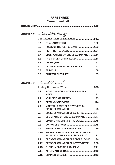#### Part Three

#### **Cross-Examination**

# Chapter 6 *Alan Dershowitz*

| 6.1 |                                               |  |
|-----|-----------------------------------------------|--|
| 6.2 | RULES OF THE JUSTICE GAME  153                |  |
| 6.3 |                                               |  |
| 6.4 | <b>OBSERVATIONS ON CROSS-EXAMINATION  154</b> |  |
| 6.5 | <b>THE MURDER OF IRIS KONES  156</b>          |  |
| 6.6 |                                               |  |
| 6.7 | CROSS-EXAMINATION OF PAROLA 161               |  |
| 6.8 |                                               |  |
| 6.9 |                                               |  |

# Chapter 7 *David Bernick*

| 7.1  | <b>MOST COMMON MISTAKES LAWYERS</b>           |  |
|------|-----------------------------------------------|--|
|      |                                               |  |
| 7.2  |                                               |  |
| 7.3  |                                               |  |
| 7.4  | <b>MAINTAIN CONTROL OF WITNESS ON</b>         |  |
|      |                                               |  |
| 7.5  | CROSS-EXAMINATION OF EXPERTS 177              |  |
| 7.6  | USE CHARTS ON CROSS-EXAMINATION 177           |  |
| 7.7  | <b>CLOSING ARGUMENT STRATEGIES178</b>         |  |
| 7.8  |                                               |  |
| 7.9  | <b>INSIGHTS FROM THE GRACE TRIAL 179</b>      |  |
| 7.10 | <b>EXCERPTS FROM THE OPENING STATEMENT</b>    |  |
|      | IN UNITED STATES V. W.R. GRACE & CO.  182     |  |
| 7.11 | <b>CROSS-EXAMINATION OF ROBERT LOCKE  184</b> |  |
| 7.12 | <b>CROSS-EXAMINATION OF INVESTIGATOR 206</b>  |  |
| 7.13 | <b>THEME IN CLOSING ARGUMENT  211</b>         |  |
| 7.14 |                                               |  |
| 7.15 |                                               |  |
|      |                                               |  |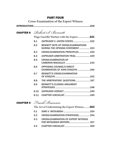#### **PAPT FAIID**

|     | FARI FUUR                                                                     |                                                                                                                                 |
|-----|-------------------------------------------------------------------------------|---------------------------------------------------------------------------------------------------------------------------------|
|     |                                                                               |                                                                                                                                 |
|     |                                                                               |                                                                                                                                 |
|     |                                                                               |                                                                                                                                 |
|     |                                                                               |                                                                                                                                 |
| 8.1 |                                                                               |                                                                                                                                 |
| 8.2 | <b>BENNETT SETS UP CROSS-EXAMINATIONS</b><br>DURING THE OPENING STATEMENT 223 |                                                                                                                                 |
| 8.3 | CROSS-EXAMINATION PRINCIPLES 225                                              |                                                                                                                                 |
| 8.4 | ZAPRUDER ARBITRATION TRIAL  229                                               |                                                                                                                                 |
| 8.5 | <b>CROSS-EXAMINATION OF</b>                                                   |                                                                                                                                 |
| 8.6 | <b>OPPOSING COUNSEL'S DIRECT</b><br>EXAMINATION OF JOHN STASZYN 240           |                                                                                                                                 |
| 8.7 | <b>BENNETT'S CROSS-EXAMINATION</b>                                            |                                                                                                                                 |
| 8.8 | THE ARBITRATORS' QUESTIONS247                                                 |                                                                                                                                 |
| 8.9 | <b>BENNETT'S CLOSING ARGUMENT</b>                                             |                                                                                                                                 |
|     |                                                                               |                                                                                                                                 |
|     |                                                                               |                                                                                                                                 |
|     | <b>CHAPTER 8</b>                                                              | <b>Cross-Examination of the Expert Witness</b><br>Robert S. Bennett<br>Wage Guerilla Warfare with the Expert221<br>8.10<br>8.11 |

Chapter 9 *Frank Branson*

|     | The Art of Undermining the Expert Witness253 |  |
|-----|----------------------------------------------|--|
|     |                                              |  |
| 9.2 | CROSS-EXAMINATION STRATEGIES 254             |  |
| 9.3 | <b>CROSS-EXAMINATION OF EXPERT WITNESS</b>   |  |
| 9.4 |                                              |  |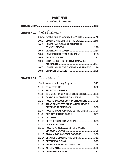#### Part Five

### **Closing Argument**

# Chapter 10 *Mark Lanier*

|      | <b>Empower the Jury to Change the World 275</b> |
|------|-------------------------------------------------|
| 10.1 | <b>CLOSING ARGUMENT STRATEGIES 275</b>          |
|      | 10.2 LANIER'S CLOSING ARGUMENT IN               |
|      |                                                 |
| 10.4 | LANIER'S REBUTTAL ARGUMENT  288                 |
| 10.5 |                                                 |
| 10.6 | <b>STRATEGIES FOR PUNITIVE DAMAGES</b>          |
|      |                                                 |
|      | 10.7 LANIER'S PUNITIVE DAMAGES ARGUMENT 296     |
| 10 R |                                                 |

# Chapter 11 *Tom Girardi*

|      | The Passionate Closing Argument 301          |  |
|------|----------------------------------------------|--|
| 11.1 |                                              |  |
| 11.2 |                                              |  |
| 11.3 | YOU MUST CARE ABOUT YOUR CLIENT 303          |  |
| 11.4 | CANDOR IN CLOSING ARGUMENT 305               |  |
| 11.5 | <b>HOW TO DISCUSS JURY INSTRUCTIONS  305</b> |  |
| 11.6 | AN ARGUMENT TO MAKE WHEN JURORS              |  |
|      |                                              |  |
| 11.7 | HOW TO MAKE A DAMAGES ARGUMENT  306          |  |
| 11.8 |                                              |  |
| 11.9 |                                              |  |
|      | 11.10 GET THE TRIAL TRANSCRIPT 308           |  |
|      |                                              |  |
|      | 11.12 HOW TO ARGUE AGAINST A LIKABLE         |  |
|      |                                              |  |
|      | 11.13 STOW V. LOS ANGELES DODGERS 308        |  |
|      | 11.14 GIRARDI'S CLOSING ARGUMENT 312         |  |
|      |                                              |  |
|      | 11.16 GIRARDI'S REBUTTAL ARGUMENT  328       |  |
|      |                                              |  |
|      |                                              |  |
|      |                                              |  |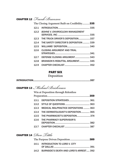Chapter 12 *Frank Branson*

| The Closing Argument Built on Credibility335 |                                       |  |
|----------------------------------------------|---------------------------------------|--|
| 12.1                                         |                                       |  |
|                                              | 12.2 BOHNE V. ENVIROCLEAN MANAGEMENT  |  |
|                                              | 12.3 THE TRUCK DRIVER'S DEPOSITION337 |  |
| 12.4                                         | THE SAFETY DIRECTOR'S DEPOSITION  339 |  |
|                                              |                                       |  |
| 12.6                                         | <b>CLOSING ARGUMENT AND TRIAL</b>     |  |
|                                              |                                       |  |
|                                              | 12.7 DEFENSE CLOSING ARGUMENT 343     |  |
| 12.8                                         | BRANSON'S REBUTTAL ARGUMENT 345       |  |
| 12.9                                         |                                       |  |

#### Part Six

#### **Deposition**

|--|

Chapter 13 *Michael Brickman*

|      | Win at Deposition through Relentless      |  |
|------|-------------------------------------------|--|
|      |                                           |  |
|      |                                           |  |
|      |                                           |  |
|      | 13.3 MEDICAL MALPRACTICE DEPOSITIONS  363 |  |
|      | 13.4 THE DERMATOLOGIST'S DEPOSITION 365   |  |
| 13.5 | THE PHARMACIST'S DEPOSITION374            |  |
| 13.6 | THE PHARMACY SUPERVISOR'S                 |  |
|      |                                           |  |
|      |                                           |  |

Chapter 14 *Don Tittle*

| The Purpose Driven Deposition 389           |  |
|---------------------------------------------|--|
| 14.1 INTRODUCTION TO LORD V. CITY           |  |
|                                             |  |
| 14.2 BURNSIDE'S DEATH AND LORD'S ARREST 392 |  |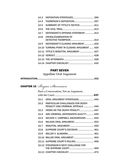| 14.3 |                                              |  |
|------|----------------------------------------------|--|
| 14.4 |                                              |  |
| 14.5 | SUMMARY OF TITTLE'S TACTICS411               |  |
| 14.6 |                                              |  |
| 14.7 | DEFENDANT'S OPENING STATEMENT 413            |  |
| 14.8 | <b>CROSS-EXAMINATION OF</b>                  |  |
|      |                                              |  |
|      | 14.9 DEFENDANT'S CLOSING ARGUMENT 424        |  |
|      | 14.10 TURNING POINT IN CLOSING ARGUMENT  426 |  |
|      | 14.11 TITTLE'S REBUTTAL ARGUMENT  427        |  |
|      |                                              |  |
|      |                                              |  |
|      |                                              |  |

#### Part Seven

### **Appellate Oral Argument**

|--|--|

# Chapter 15 *Bryan Stevenson*

| Have a Conversation, Not an Argument, |                                                                             |  |  |  |
|---------------------------------------|-----------------------------------------------------------------------------|--|--|--|
|                                       |                                                                             |  |  |  |
| 151                                   | ORAL ARGUMENT STRATEGIES 440                                                |  |  |  |
| 15.2                                  | PARTICULAR CHALLENGES FOR DEATH<br><b>PENALTY AND CRIMINAL APPEALS  446</b> |  |  |  |
| 15.3                                  | VIEWS ON THE DEATH PENALTY447                                               |  |  |  |
| 15.4                                  | ARE CRIMINAL DEFENDANTS GUILTY? 449                                         |  |  |  |
| 15.5                                  | <b>NELSON V. CAMPBELL BACKGROUND 450</b>                                    |  |  |  |
| 15.6                                  | <b>NELSON ORAL ARGUMENT 453</b>                                             |  |  |  |
| 15.7                                  |                                                                             |  |  |  |
| 15.8                                  | SUPREME COURT'S DECISION  461                                               |  |  |  |
| 15.9                                  |                                                                             |  |  |  |
|                                       | 15.10 MILLER ORAL ARGUMENT 463                                              |  |  |  |
|                                       |                                                                             |  |  |  |
|                                       | <b>15.12 STEVENSON'S NEXT CHALLENGE FOR</b>                                 |  |  |  |
|                                       |                                                                             |  |  |  |
|                                       |                                                                             |  |  |  |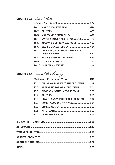Chapter 16 *Lisa Blatt*

| 16.1 |                                    |  |
|------|------------------------------------|--|
| 16.2 |                                    |  |
| 16.3 |                                    |  |
| 16.4 | UNITED STATES V. FLORES-MONTANO477 |  |
| 16.5 | ADOPTIVE COUPLE V. BABY GIRL  482  |  |
| 16.6 | <b>BLATT'S ORAL ARGUMENT  484</b>  |  |
| 16.7 | ORAL ARGUMENT OF ATTORNEY FOR      |  |
|      |                                    |  |
| 16.8 | BLATT'S REBUTTAL ARGUMENT 493      |  |
| 16.9 |                                    |  |
|      |                                    |  |

Chapter 17 *Alan Dershowitz*

| 17.1 |  | <b>TAILOR YOUR BRIEF TO THE ARGUMENT  499</b> |  |
|------|--|-----------------------------------------------|--|
| 17.2 |  | PREPARING FOR ORAL ARGUMENT 500               |  |
| 17.3 |  | <b>BIGGEST MISTAKE LAWYERS MAKE  500</b>      |  |
| 17.4 |  |                                               |  |
| 17.5 |  | HOW TO ANSWER DIFFICULT QUESTIONS 502         |  |
| 17.6 |  | TABISH AND MURPHY V. NEVADA 504               |  |
| 17.7 |  |                                               |  |
| 17.8 |  |                                               |  |
|      |  |                                               |  |
|      |  |                                               |  |
|      |  |                                               |  |
|      |  |                                               |  |
|      |  |                                               |  |
|      |  |                                               |  |
|      |  |                                               |  |
|      |  |                                               |  |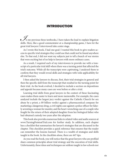#### INTRODUCTION

 $\mathcal I$ <sub>n my previous three textbooks, I have taken the lead to explain litigation</sub> skills. Here, like a good commentator at a championship game, I have let the great trial lawyers I interviewed take center stage.

As I wrote this book, I had one goal: I wanted this book to give readers access to specific trial strategies they could use that could not be found anywhere else. To that end, I did not want my subjects just to tell a bunch of war stories that were exciting but of no help to lawyers with more ordinary cases.

As a result, I required each of my interviewees to provide me with a transcript of a particular trial skill where there was a turning point that affected the trial's outcome. While all the transcripts were captivating, I analyzed them to confirm that they would reveal skills and strategies with wide applicability for all trial lawyers.

I then asked the lawyers to discuss, first, their trial strategies in general and then the specific skill from the transcript that resulted in the turning point for their trial. As the book evolved, I decided to include a section on depositions and appeals because many cases are won before or after a trial.

Learning trial skills from great lawyers in the context of these fascinating cases makes them easier to learn and more memorable. For example, the cases analyzed include the largest jury verdict against the Catholic Church for sex abuse by a priest, a \$9 billion verdict against a pharmaceutical company for marketing a dangerous drug, a civil rights case against a police officer for falsely arresting a woman for murder, and the heart-wrenching case of a couple who fought for the return of their adopted daughter from her biological father who had obtained custody two years after the adoption.

This book also provides numerous links to related video and audio sources at www.TurningPointsatTrial.com for further study. In addition, each chapter has a checklist that summarizes the lawyer's strategies that are discussed in the chapter. This checklist provides a quick reference that ensures that the reader can remember the lessons learned. There is a wealth of strategies and skills taught in the book. In the checklists alone, there are 447 tips.

As you read the book, you will notice that the great lawyers who are profiled share common principles about trial strategy and the execution of trial skills. Unfortunately, these ideas and techniques are seldom taught in law schools nor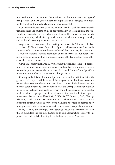practiced in most courtrooms. The good news is that no matter what type of trial practice you have, you can learn the right skills and strategies from reading this book and immediately become more successful.

Courtroom advocacy is also an art. You will see that each lawyer adapts the trial principles and skills to fit his or her personality. By learning from the wide variety of successful lawyers who are profiled in this book, you can benefit from determining which strategies will work best with your own personality and skills and make adjustments as necessary.

A question you may have before starting this journey is, "How were the lawyers chosen?" There is no definitive list of great trial lawyers. Also, fame can be very misleading. Some famous lawyers achieved their notoriety for a particular case whose outcome was not dependent on the lawyer at all, but because the overwhelming facts, mediocre opposing counsel, the law itself, or some other cause determined the outcome.

Other famous lawyers have achieved acclaim through aggressive self-promotion. On the other hand, there are many great trial lawyers who never receive national exposure because they never seek it. Indeed, "famous" and "great" are not synonymous when it comes to describing a lawyer.

Consequently, this book does not pretend to create the definitive list of the greatest trial lawyers. While some of the lawyers in this book are household names, they were not chosen for their fame. I chose all the lawyers because they are certainly among the best at their craft and were passionate about sharing secrets, strategies, and skills so others could be successful. I also wanted to share with you perspectives from all around the country. In that regard, I interviewed lawyers from New York, California, Washington, D.C., Chicago, Alabama, South Carolina, Missouri, and Texas. The interviews cover the entire spectrum of trial practice lawyers, from plaintiff's attorneys to defense attorneys, prosecutors to criminal defense attorneys, as well as appellate attorneys.

In my teaching and writings, I am a strong believer that "less is more." With that in mind, let's end the introduction and begin a fascinating journey to improve your trial skills by learning from the best lawyers in America.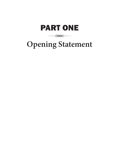

# **Opening Statement**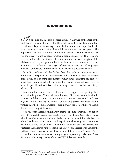#### INTRODUCTION

 $\mathcal{A}_n$  opening statement is a speech given by a lawyer at the start of the trial that explains to the jury what the evidence will prove. Too often, lawyers throw this presentation together at the last minute and hope that by the time closing arguments arrive, they will have a more-organized speech. The unprepared lawyer is comforted by the conventional wisdom that states that you should save your best ideas for closing arguments anyway. This "wisdom" is based on the belief that jurors will follow the court's instructions given at the trial's outset to keep an open mind until all the evidence is presented. If no one is jumping to conclusions, the lawyer believes he can wait until closing arguments to comfortably summarize for the jury what has occurred at trial.

In reality, nothing could be further from the truth. A widely cited study found that 80–90 percent of jurors come to a decision about the case during or immediately after opening statements.<sup>1</sup> Human nature confirms this fact. We make quick judgments about who is right or wrong in our everyday life. It is nearly impossible to turn this decision-making process off just because a judge tells us to do so.

Moreover, law schools teach that you need to pepper your opening statement with the phrase, "The evidence will show..." in order to comply with the assumed prohibition of making arguments in opening statements. The flawed logic is that by repeating the phrase, you will only present the facts and not venture into the prohibited waters of arguing what the facts will prove. Again, this advice is completely wrong.

You will see in the following chapters that the opening statement is an opportunity to powerfully argue your case to the jury. In Chapter One, Mark Lanier, who the *National Law Journal* described as one of the most influential lawyers of the first decade of this century, will explain and show why the conventional wisdom is wrong. In Chapter Two, Windle Turley will share the secrets and strategies that allowed him to obtain the largest jury verdict ever against the Catholic Church because of sex abuse by one of its priests. In Chapter Three, you will learn a formula to use in any of your upcoming trials from Bryan Stevenson, who also gave one of the best TED Talks ever recorded.

<sup>1</sup> Donald E. Vinson, *Jury Psychology and Antitrust Trial Strategy*, 55 Antitrust L.J. at 591 (1986) (Study based on 14,000 actual or surrogate jurors).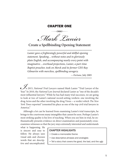#### CHAPTER ONE

*Mark Lanier*  $\frac{1}{\sqrt{2}}$ 

**Create a Spellbinding Opening Statement**

*Lanier gave a frighteningly powerful and skillful opening statement. Speaking...without notes and in gloriously plain English, and accompanying nearly every point with imaginative...overhead projections, Lanier, a part-time Baptist preacher, took on Merck and its former CEO Ray Gilmartin with merciless, spellbinding savagery.*

—*Fortune,* July 2005

*I*n 2015, *National Trial Lawyers* named Mark Lanier "Trial Lawyer of the Year." In 2010, the *National Law Journal* declared Lanier as "one of the decade's most influential lawyers." While he has had many trial successes, we are going to look at two of Lanier's national record-setting verdicts: one involving the drug Actos and the other involving the drug Vioxx—a verdict which *The New York Times* reported "cemented his place as one of the top civil trial lawyers in America."

Although a lot can be learned from examining Lanier's trial transcripts, he brings to the courtroom many intangibles that cannot be seen. Perhaps Lanier's most striking quality is his love of teaching. When you see him in trial, he enthusiastically presents evidence on direct examination and passionately crossexamines witnesses so that the jury stays extremely interested and understands

what is happening. He is sincere and easy to follow. He always uses visual aids and chooses words that are descriptive and uncomplicated.

#### CHAPTER HIGHLIGHTS

- Create a memorable theme
- Use descriptive phrases and analogies
- Tell a story that covers the good, the bad, and the ugly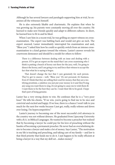#### 6 Turning Points at Trial

Although he has several lawyers and paralegals supporting him at trial, he examines all the witnesses himself.

He is also extremely likable and charismatic. He explains that when he was growing up, his parents were constantly moving all over the country. He learned to make new friends quickly and adapt to different cultures. In short, he learned how to fit in and be liked.

When I saw him in a recent trial, he was grilling an expert witness on crossexamination. The expert was battling back and would not give an inch. The expert sneezed; Lanier immediately interrupted his examination and said, "Bless you." I asked him how he could so quickly switch from an intense crossexamination to a kind gesture toward the witness. Lanier's answer reveals his courtroom demeanor and should be a model for others to follow:

There is a difference between dealing with an issue and dealing with a person. If I've got an expert on the stand that I am cross-examining who I think is putting a bunch of hooey out there for the jury, well, I'm going to dissect the hooey, and I am going to try and force that witness to accept the fact that what he is saying is bogus.

That doesn't change the fact that I care genuinely for each person. They've got to sneeze—well, "Bless you." It's not personal, it's business. Even if I think that they are selling their soul for money, that they are a testifying prostitute, a jukebox you just put your money in it and they'll sing any song you want them to sing, it's not going to cause me to wish them ill. I want them to be the best they can be. I want their life to be good. I hope that's part of being genuine.

Lanier has a very strong desire to win. He confesses that he is a "very poor loser." He tells his clients, "If we win, you're going to find me to be nice and convivial and excited and happy. If we lose, there is a chance I won't talk to you much for the next few weeks because I just get, really, really solemn and down over losing. I'm hypercompetitive."

Lanier's journey to becoming one of the most successful civil attorneys in the country was not without detours. He graduated from Lipscomp University with a B.A. in Biblical Languages. He wanted to become a preacher but realized that by becoming a lawyer he could pay for his love of preaching without the hassles of becoming a permanent preacher. He never had an overwhelming desire to become a lawyer and make a lot of money. Says Lanier, "The motivation in my life is teaching and preaching, and taking care of my family—and law is that third priority that funds me to do it. I just happen to be really efficient at being a lawyer in a way that my skill set...makes money."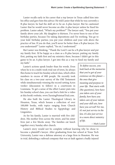Lanier recalls early in his career that a top lawyer in Texas called him into his office and gave him this advice: He told Lanier that while he was currently a B-plus lawyer, he had the skill set to be an A-plus lawyer. But he cautioned Lanier that he would never become an elite A-plus lawyer unless he fixed his problem. Lanier asked, "What's my problem?" The lawyer said, "You put your family above your job. My daughter is thirteen. I've never been to one of her birthday parties, because I'm taking depositions and I'm working. You go to your kids' birthday parties; you put your children and your wife above the practice of law. If you do that, you'll never be better than a B-plus lawyer. Do you understand?" Lanier replied, "Yes sir, I understand."

But Lanier was thinking, "Thank the Lord I can be a B-plus lawyer and put my family first. I'd be happy as a clam as a B-plus lawyer, putting my family first, putting my faith first and my ministry there, because I didn't get in this game to be an A-plus lawyer. I got into this as a way to fund my family and my faith."

Lanier's actions speak louder than his words. Even when he is in a multi-week trial out of town, he always flies home to teach his Sunday school class, which often numbers in excess of 800 people. He recently took his class on a two-year survey of the Old Testament while simultaneously winning the record-setting Actos verdict (discussion to follow) in a courtroom in Louisiana. To get a sense of the effort Lanier puts into his Sunday school class, you can find a link for a video at this book's website, www.TurningPointsatTrial.com.

He also built the Lanier Theological Library in Houston, Texas, which houses a collection of over 100,000 books, with topics ranging from Church History and Biblical Studies to Egyptology and Linguistics.

As for his family, Lanier is married with five children. His mother lives across the street, and his sister lives just a few blocks away. The families eat lunch together every Sunday after church.

Lanier's story would not be complete without learning why he chose to become a plaintiff's lawyer. After graduating from law school at Texas Tech University, Lanier was a defense attorney at a large firm in Houston. He was in trial, defending a railroad company that was at fault against a badly injured

*To define success, you look back at the memories that you've got of your existence on this planet the ones that give meaning and purpose to your life. That starts with [the questions], how have you taken care of your family, how have you taken care of your talents and your skill sets, how have you served? For me, it's not just service in the law, it's also just service in a more direct ministry of life.*

—Mark Lanier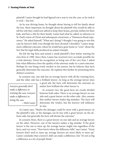#### 8 Turning Points at Trial

plaintiff. Lanier thought he had figured out a way to win the case, so he took it to trial—but lost.

As he was driving home, he thought about having to tell his family about the loss. More important, he thought about the plaintiff who would be able to tell his wife they could now afford to keep their house, provide clothes for their kids, and have a life for their family. Lanier had what he called, in reference to St. Paul's vision of Christ and subsequent conversion, a "Damascus Road experience." He asked himself, "What am I doing? I thought I was going to win this case by lawyer's skill, even though the facts dictated I shouldn't." Lanier imagined a different outcome, where he would have gone home to "crow" about the fact that his legal skills produced an unjust triumph.

He left the big firm and joined a small plaintiff 's firm before starting his own firm in 1990. Since then, Lanier has received every accolade possible for a trial attorney. Given his recognition as being one of the very best, I asked him what difference does the quality of the attorney make in a case's outcome. Perhaps he was being overly modest in his answer, but he believes that facts generally determine the outcome. He explains this further by presenting three distinct scenarios.

In scenario one, one side has an average lawyer with all the winning facts, and the other side has a brilliant lawyer. As long as the average lawyer does

*Lawyers generally don't make a difference in winning the case. Lawyers make a difference in losing the case.* —Mark Lanier a good job, the facts will determine the outcome no matter how brilliant the other lawyer is.

In scenario two, the good facts are evenly divided between both sides: There is an average lawyer on one side and a great lawyer on the other side. Also, assume that neither lawyer makes big mistakes. The facts will determine the verdict, but the lawyers will influence its size.

As Lanier says, "Maybe the damages could be more with a great lawyer on the plaintiff 's side, or the damages can be less with a great lawyer on the defense side, but generally the facts will dictate the outcome."

In scenario three, there is a great lawyer on one side and an average lawyer on the other. However, one of the lawyers makes a big mistake. If the great lawyer is the one to mess up, the average lawyer might win regardless of the facts, and vice versa. "Now here's where the difference falls," says Lanier. "Great lawyers don't tend to mess up; average lawyers are more likely to mess up." Lanier concludes that a lawyer's skill can make a difference, but "it's not as big a difference as a lot of people think."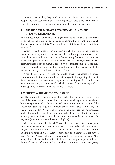Lanier's charm is that, despite all of his success, he is not arrogant. Many people who have seen him at trial (including myself) would say that he makes a very big difference in the cases he tries, no matter what the facts are.

#### 1.1 THE BIGGEST MISTAKE LAWYERS MAKE IN THEIR OPENING STATEMENTS

Without hesitation, Lanier says the biggest mistake he sees trial lawyers make is "stretching the truth, trying to make something that it's not. Jurors smell that, and you lose credibility. When you lose credibility, you lose the ability to persuade."

Lanier "loves it" when other attorneys stretch the truth in their opening statement or during the trial. He doesn't object to improper questions at trial. Instead, he gets a real-time transcript of the testimony from the court reporter. He lets the opposing lawyer stretch the truth with the witness, so that the witness walks farther out on a limb. Then, on cross-examination, he uses the transcript to contrast the unreasonable things the witness had just said with the truth as shown by the evidence or other testimony.

When I saw Lanier in trial, he would crucify witnesses on crossexamination with the words used by their lawyer in the opening statement. Any exaggeration the defense attorney made in opening would come back to haunt the attorney, as Lanier would ask the witness, "Your attorney said 'X' in the opening statement. Now the truth is 'Y' isn't it?"

#### 1.2 CREATE A THEME FOR YOUR CASE

Months before a trial begins, Lanier thinks about an engaging theme for his case. It is a task that preoccupies him. He is not searching for a factual theme but a "story theme, a TV show, a movie." He recounts how he thought of the show *Crime Scene Investigation*—known as *CSI*—and related it to the jury that was deciding his first Vioxx trial. Although the Vioxx trial will be discussed in detail later, all you need to know now is that Lanier told the jurors in his opening statement that it was as if they were on a detective show called *CSI: Angleton* (Angleton is where the trial took place).

After he had won the initial Vioxx trial, there were two subsequent Vioxx trials where Lanier was not the lawyer. Lanier relates that the defense lawyers stole his theme and told the jurors in those trials that they were to act like detectives in a *CSI* show to prove that the plaintiff did not have a case. The next Vioxx trial where Lanier was the attorney took place in New Jersey. The defense filed a motion in limine that sought to prevent Lanier from making any reference to *CSI* until closing argument. But in New Jersey,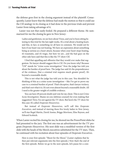the defense goes first in the closing argument instead of the plaintiff. Consequently, Lanier knew that the defense had made the motion so that it could use the *CSI* analogy in its closing as it had done in the previous trials and prevent Lanier from taking advantage of it.

Lanier was not that easily fooled. He prepared a different theme. He summarized for me the closing he gave in New Jersey:

Ladies and gentlemen, we are here about Vioxx, and you've been sitting listening to this trial for the last eight weeks. It's a trial about a beating heart, and this, in fact, is something we all have in common. We would not be here if our heart was not beating. We have an expression about something being as serious as a heart attack, because when your heart stops beating, it's traumatic, and it's tragic, but here we are...and the bad guys on the other side have said that this is like the TV show *CSI*.

I find that appalling and offensive that they would ever make that suggestion. No lawyer should suggest this is *CSI*. Do you know why? Because "CSI" stands for "crime scene investigation." Now the judge has told you about the burden of proof here. The judge has said it's the preponderance of the evidence, [but a criminal trial requires much greater proof]. It's beyond a reasonable doubt.

This is not what the judge has told you in this case. You shouldn't be thinking of this as a crime scene investigation—like I've got to prove my case to a criminal burden of proof. That's deceptive, that's lawyer trickery, and that's not what it is. It's not even almost beyond a reasonable doubt. All I need is the greater weight of credible evidence.

You can have 49 percent doubt and vote for my client. This is not *Crime Scene Investigation*. Shame on you [defense counsel] for even making that suggestion! Now, I'm not against the TV show. But here's the TV show for this case: It's called *Desperate Housewives*.

But instead of *Desperate Housewives*, we'll call this *Desperate Executives*, and instead of starring these five lovely ladies in New Jersey, we'll star Regal Martin, David Anstas, Briggs Morrison, Elise Rayson, and Edward Scolnick.

When Lanier recited his closing for me, he showed me the PowerPoint slides he had presented to the jury. The first one was an advertisement for the TV program *Desperate Housewives*. His next slide was a modified version of the first slide with the heads of the Merck executives substituted for the TV stars. Then, he continued with his recitation about four episodes of *Desperate Executives*.

Here is your first episode: "Shoot for the Moon." [Lanier explains that he then put relevant arguments into the first episode.] Now that's the end of the first episode. Before we go to the next episode, let's pause for a com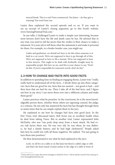mercial break. This is a real Vioxx commercial. You listen—do they give a warning? You won't hear one.

Lanier then explained the second episode and so on. If you want to see an excerpt of Lanier's closing argument, go to this book's website, www.TurningPointsatTrial.com.1

In our talks, I challenged Lanier to make a simple case interesting, because most lawyers don't have the life and death cases he has. He advised that in any trial, you need to tell the jurors that the verdict is their chance to make a statement. It is your job to tell them what the statement is and make it personal for them. For example, in a fender-bender case, you might say:

Ladies and gentlemen, we should not have to do this when someone is at fault in a car wreck. We're not supposed to have to go through all of this. We're not supposed to have to file a lawsuit. We're not supposed to have to hire lawyers. This ought to be dealt with forthwith, straight away by responsible people. But here we are, and this is your chance to say, "Don't do this. If you're responsible for someone's wreck, don't do this."

#### 1.3 HOW TO CHANGE BAD FACTS INTO GOOD FACTS

In addition to spending time on finding an engaging theme, Lanier tries "really, really hard to understand all of the facts...I divide them up into three categories: facts that are good for me, facts that are neutral—not good or bad—and then facts that are bad for me. Then I take all of the bad facts, and I figure out how in my story I can move them over into a different column and make them good."

Lanier practices what he preaches. In the courtroom, he is the most knowledgeable person there, whether those others are opposing counsel, the judge, or a witness. He not only has mastered the facts but has thought through them so many times that he can simply explain them to the jury.

He explained to me how he changes bad facts into good facts. In the first Vioxx trial (discussed later), Bob Ernst was in excellent health when he died from taking Vioxx. But in another trial, Lanier represented John McDarby, who was "one pork chop away from a heart attack. He had every risk factor there was. He was very old, he was obese, he was diabetic, he had a family history, and he had high cholesterol." People asked him how he could win with all those negatives. He replied, "I'm just going to turn them into positives."

He then demonstrated to me what he had explained to the jury:

Look, we all live on a table or on flat land, but there's a table's edge or cliff, and that's the heart attack [Lanier points to the edge of a table in front of

<sup>1</sup> If you want to see Lanier discuss his strategies in detail for *Ernst v. Merck* and his second Vioxx trial, go to www.TurningPointsatTrial.com.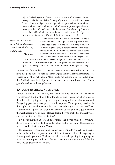us]. It's the leading cause of death in America. Some of us live real close to the edge, and other people live far away. If you are a 17-year-old kid, you're far away from the edge, but as you get to be 75, you're closer. Male, closer, diabetic, closer, smoker, closer, and all of these things move you closer to the edge of the cliff. [As Lanier talks, he moves a Styrofoam cup from the center of the table, which represents the 17 year old, closer to the edge as he mentions the risk factors of "male, diabetic, and smoker" etc.]

*Your story needs to be the full story. It needs to cover the good, the bad, and the ugly.* —Mark Lanier

Now let me tell you about Vioxx. Vioxx is a shove toward the cliff. [Lanier pushes the cup that is now at the edge of the table and knocks it off.] If you're a 17-year-old guy—girl, it doesn't matter—you probably could take all the Vioxx you wanted. It's not going to bother you: You can take that stuff, you can take that shove, but you take someone who's right up against the

edge of the cliff, and Vioxx is the last thing in the world that person needs to be taking. I'll prove that to you, and I'll prove that Mr. McDarby was right up at the edge of the cliff, and he had no business being on that drug.

Lanier's use of the table as a visual aid perfectly demonstrates how to turn bad facts into good facts. As hard as Merck argues that McDarby's heart attack was caused by his other risk factors, Merck could not overcome this powerful image that McDarby was the last person in the world who should have taken Vioxx, given how close to the edge he was.

#### 1.4 DON'T OVERSELL YOUR CASE

Lanier cautions that he tries very hard in his opening statement not to oversell. The reason is that the other side follows him, "and if you oversell an opening, the other side is going to get up, and they are going to tear up what you've said. Everything you say, you've got to be able to prove. Your opening needs to be thorough—you need to cover what the other side is going to say as well." For example, Lanier points out that in the example above, you have got to explain the weaknesses in your case. "Heaven forbid I try to make the McDarby case and not mention all of his risk factors."

By discussing the bad facts in his opening, the jury is primed for when the defense counsel highlights the plaintiff 's bad health, suggesting those risk factors caused his death and not Vioxx.

However, don't misunderstand Lanier's advice "not to oversell" as a license to be overly cautious in your opening statement. As we will see, he argues passionately and vigorously. He does not deliver a meek opening in any shape or form. He argues powerfully with descriptive words and PowerPoint slides, but he is always grounded in the facts.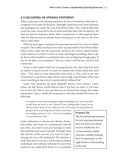#### 1.5 DELIVERING AN OPENING STATEMENT

When Lanier gives his opening statement, he has a PowerPoint slide that accompanies every topic he discusses. Although Lanier has a trial team of lawyers and paralegals, he creates his own PowerPoint slides. This control helps him create the exact visual aid he has in mind and helps him with his delivery. He does not need to memorize which slide is coming next or what argument goes with the slide because he already knows, having put in the time on the front end to create them.

When he first begins working on his opening statement, he writes an outline on paper. This outline develops into a story accompanied by PowerPoint slides. When Lanier walks into the courtroom, he leaves the written outline behind. Lanier believes it is better to have no notes and forget something, than to get up there and be wedded to a notebook where you are flipping through pages. If you do the latter, you are going to "lose eye contact with the jury and lose that connection."

As far as what Lanier would say to young lawyers who claim that they need an outline to speak in front of a jury, he explains that if they think they need notes, "They need to wean themselves away from it. They need to get into Toastmasters or go back to high school, and do high school debate. They need to do something to learn how to speak publicly without that."

Lanier then mentions the great plaintiff's lawyer, Gerry Spence. Lanier points out that Spence would instruct that if you have no notes, it will cause you to have this ache in your gut that you can channel into energy that makes you genuine. Spence would tell young lawyers that they should tell the jury the following:

I'm really nervous that I'm going to forget something, but I want to be able to talk from my heart to you. Instead of just reading what I wrote, let me tell you what I think. If I'm a little nervous, it's because I'm afraid that I'm

going to leave something out, but this is more than me reading a speech to you—this is me speaking to you about how I feel.

Lanier elaborates on why he uses themes, Power-Point slides, and stories to communicate with the jury: First, you want to put your message in terms that make the most sense to people. Through visual aids and the words you use, you want to create a message the jury will understand. He mentions a study that states if you use a word someone doesn't understand, your audience will miss the next seven words you say while their brains try to assimilate

#### Practice Tip

The PowerPoint presentation for your opening statement does not need to be listed on your exhibit list. It is a demonstrative exhibit. Attorneys usually exchange them by agreement on the night before or the morning of the trial.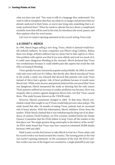what you have just said. "You want to talk in a language they understand. You want to talk in metaphors that they can relate to, in images and pictures that are already anchored in their brain, so you're just tying onto something that is already anchored there." When he needs to educate the jury about a complicated scientific term that will be used in the trial, he introduces the word, pauses, and then explains what the word means.

Let's turn to Lanier's opening statement in his record-setting Vioxx trial.

#### 1.6 *ERNST V. MERCK*

In 1999, Merck began selling a new drug, Vioxx, which it claimed would benefit arthritis sufferers. Its main competitor was Pfizer's drug Celebrex. Before these two drugs, arthritis sufferers had no choice but to take aspirin or Aleve. One problem with aspirin was that if you were elderly and took too much of it, it could cause dangerous bleeding in the stomach. Merck declared that Vioxx was revolutionary because it could inhibit pain like aspirin but avoid the side effect of stomach bleeding.

Vioxx quickly became immensely popular and profitable. By 2004, its worldwide sales were well over \$11 billion. But shortly after Merck introduced Vioxx to the world, a study was released that showed that patients who took Vioxx instead of Aleve had a greater risk of heart problems because it would cause blood clots. While some doctors and patients believed this was proof that Vioxx was dangerous, Merck interpreted the study as showing that the only reason Vioxx patients suffered an increase in cardiac problems was because Aleve was uniquely able to protect against dangerous blood clots, not that Vioxx caused them. This study became known as the VIGOR study.

However, Merck's assessment changed in 2004. At that time, Merck concluded a study that sought to see if Vioxx would help prevent colon polyps. The study found that after 18 months of taking Vioxx, patients had an increased risk of heart attacks. With this information, Merck withdrew Vioxx from the market. While Merck claimed that it was withdrawing the drug out of an abundance of caution, David Graham, an FDA scientist, testified before the Senate Finance Committee that the FDA's failure to keep Vioxx off the market in the first place was "the single greatest drug catastrophe in the history of the world." An FDA study found that Vioxx may have caused an estimated 28,000 deaths between 1999 and 2003.

Mark Lanier was the first lawyer to take Merck to trial on a Vioxx claim, and his record verdict was heard around the country. The turning point in the trial was Lanier's opening statement. At the conclusion of the trial, the \$253.5 million verdict was one of the largest ever awarded to a single plaintiff in any type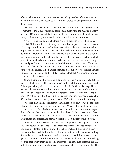of case. That verdict has since been surpassed by another of Lanier's verdicts in 2014, when his client received a \$9 billion verdict for dangers related to the drug Actos.

Years after Lanier's historic Vioxx win, Merck agreed to pay a \$950 million settlement to the U.S. government for illegally promoting the drug and deceiving the FDA about its safety. It also pled guilty to a criminal misdemeanor charge of introducing a misbranded Vioxx into interstate commerce.

While it is true that Lanier's historic Vioxx verdict was reversed on appeal and his \$9 billion Actos verdict may be reduced on appeal—those facts do not take away from the truth that Lanier's persuasive skills in a courtroom achieve unprecedented results from juries and, ultimately, enormous settlements from defendants. Moreover, the massive verdicts that Lanier obtains have a significant impact on corporate defendants. The negative press and decline in stock prices from such trial outcomes are wake-up calls to pharmaceutical companies and give Lanier leverage to settle the claims for his other clients. For example, years after the first Vioxx trial, Lanier settled 85 percent of all Vioxx lawsuits for \$4.85 billion. When Lanier obtained a \$9 billion Actos verdict against Takeda Pharmaceutical and Eli Lily, Takeda's stock fell 9 percent in one day after the verdict was announced.

Before examining the opening arguments in the Vioxx trial, let's take a closer look at the case. The plaintiff was Carol Ernst, the widow of Bob Ernst. Bob began taking Vioxx a year before he died in 2001 in his sleep. He was 59 years old. He was a marathon runner. He took Vioxx to treat tendonitis in his hand. The trial began in state court in Angleton, a small town in Texas (population 18,977), on July 14, 2005. Five weeks later, the jury returned a verdict of \$24 million in compensatory damages and \$229 million in punitive damages.

The trial had many significant challenges. Not only was it the first attempt to hold Merck accountable for Vioxx, the medical examiner in the case, Dr. Maria Araneta, had concluded in her autopsy report that Bob had died from an irregular heartbeat (arrhythmia), not a heart attack caused by blood clots. No study had ever found that Vioxx caused arrhythmia, but studies had shown Vioxx increased the risk of blood clots.

Lanier was not discouraged. He hired a private investigator to find Dr. Araneta, who had moved to Abu Dhabi. He convinced her to come to Texas and give a videotaped deposition, where she concluded that, upon closer examination, Bob had died of a heart attack in contrast to her autopsy finding. She explained in her deposition that her autopsy report did mention an emergency room note that Bob might have had a heart attack. She said, "Something blocked that artery that was already narrowed—either a clot, a fissure, block... but...these things could be dissolved. He was resuscitated very vigorously. [The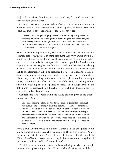clot] could have been dislodged, you know. And they fractured his ribs. They were pounding on his chest."

Lanier's charisma was immediately evident to the jurors and everyone in the courtroom. *Fortune's* description of Lanier's opening statement was used to begin this chapter but is repeated here for ease of reference:

[Lanier] gave a frighteningly powerful and skillful opening statement. Speaking without notes and in gloriously plain English, and accompanying nearly every point with imaginative overhead projections, Lanier, a parttime Baptist preacher, took on Merck and its former CEO Ray Gilmartin with merciless, spellbinding savagery.

After Lanier's opening statement, Merck would never recover. *Fortune's* description sets forth the ideal opening statement that every lawyer should aspire to give. Lanier's presentation had the combination of a memorable story and creative visual aids. For example, when Lanier argued that Merck did not stop marketing the drug because "nothing could stop the Merck marketing machine" from making needed money for the company, he showed the jury a slide of a steamroller. When he discussed how Merck "duped the FDA," he showed a slide displaying a pair of hands hovering over three walnut shells. His mastery of storytelling continued as he showed pictures of Bob running in a race, competing in a tandem bicycle race with his wife, and posing with his wife on his wedding day. Lanier paused and said, "Then things changed," and Bob's photo was replaced by a silhouette. "Bob Ernst died." The argument was captivating and easily understood.

Contrast that ideal opening with the failing critique given to the defense counsel by *Fortune*.

In Merck's opening statement, [the defense counsel] presented a thorough, meticulous, and seemingly plausible rebuttal of Lanier's contentions. But in contrast to Lanier, defense counsel spoke matter-of-factly of "NSAIDS" and "coxibs" and "cardiothromboembolic" events with only perfunctory stabs at translation. He seemed to read much of his presentation and illustrated it only with stodgy, corporate head shots of Merck officials or hard-to-read excerpts from documents with meanings shrouded in medical jargon.

*Fortune* said the winner was undisputed. "Lanier is inviting the jurors to join him on a bracing mission to catch a wrongdoer and bring him to justice. 'You've got to be the detectives here,' he told them. 'If this were TV, this would be *CSI: Angleton*.' Merck, in contrast, is asking the jurors to do something difficult and unpleasant like—well—taking medicine."

The defense team continued to make mistakes during the trial. For example, Lanier's direct questioning of Carol Ernst concluded before the lunch break.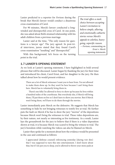Lanier predicted to a reporter for *Fortune* during the break that Merck's lawyer would conduct a disastrous cross-examination of Carol.

For 90 minutes, Merck's lawyer conducted a longwinded and disrespectful cross of Carol. At one point, she was asked about Bob's strained relationship with his adult children from a previous marriage.

Lanier said at the time, "The only reason for questions is a lawyer ego." The jury agreed. In post-trial interviews, jurors stated that they found Carol's cross-examination "insulting" and "disrespectful."

With this background, let's focus on the turning point in the trial.

*The trial offers a stark choice between accepting Lanier's invitation to believe simple, alluring, and emotionally cathartic stories versus Merck's appeals to colorless, heavygoing, soporific reason.* —*Fortune,* commenting on *Ernst v. Merck* opening statements

#### 1.7 LANIER'S OPENING STATEMENT

As we look at Lanier's opening statement, I have highlighted in bold several phrases that will be discussed. Lanier began by thanking the jury for their time and introduced his client, Carol Ernst, and her daughter to the jury. He then talked about how he would present evidence.

There are a lot of Merck witnesses I want you to hear from. I'm not allowed to make them show up. So they won't be here because I can't bring them here. Merck has to voluntarily bring them in.

There's one fella I'm allowed to force to show up because he lives within a hundred miles of the courthouse. But everybody else, if Merck will bring them, I'll put them on live so I don't have to show you movies. But if Merck won't bring them, we'll have to do them through the movies.

Lanier immediately puts Merck on the defensive. He suggests that Merck has something to hide by not bringing witnesses to testify live at trial. He further puts the fault on Merck if he has to show the jury "movies" of the depositions because Merck won't bring the witnesses to trial. These video depositions are, by their nature, not nearly so interesting as live testimony. As a result, Lanier lays the groundwork for the jury to believe that if there is a video deposition shown at trial, it is because Merck was scared to bring the witness to trial. The jury's boredom while watching the videos can also be blamed on Merck.

Lanier then spoke for a moment about how the evidence would be presented in the case and continued as follows:

I appreciated [defense counsel] referencing yesterday [during voir dire] that I was supposed to turn this into entertainment. I don't know about that, but if I do put you to sleep, you're allowed to throw your steno pads at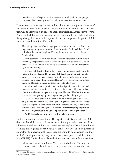#### 18 Turning Points at Trial

me—because you've given up five weeks of your life, and I'm not going to put you to sleep. I want you awake, and I want you tuned into the evidence.

Throughout his opening, Lanier builds a bond with the jurors. Imagine if you were a juror. What a relief it would be to hear from a lawyer that the trial will be interesting! In order to make it interesting, Lanier shows several PowerPoint slides on a projection screen with photos of Bob and Carol living a happy life. As he talks to jurors in this next segment, the photo of Bob fades, leaving the outline of his body.

They did get married after being together for a number of years. Interestingly enough, they were introduced over exercise. And you'll hear Carol talk about her other daughter, Kendra, being the matchmaker between Carol and Bob.

They got married. They had a wonderful time together. But ultimately, ultimately, the picture starts to fade and things start to go different. And let me tell you why. [Photo of Bob on projector screen fades and is replaced by Bob's silhouette.]

You see, Bob Ernst is dead today. **One of my witnesses that I want to bring in the case I cannot bring you. Bob Ernst cannot come in here today.**<sup>2</sup> He is no longer here. He didn't know he was going to need to be here. He didn't leave us anything in video. He didn't leave us anything in writing that would talk about the issues that we need to talk about.

So what you'll have is, you'll have Carol and you'll have Bob. They had been married for 11 months. And Bob was only 59 years old when he died. Now, some who are younger, that may seem like real old—but I promise you, as you start getting up there, it gets younger the older you get.

He was 59 years old when he died. And what you've got to do is, basically, be the detectives here. You've got to figure out why he died. That's your job: Figure out whether or not, of the reasons he died, Vioxx is one of those causes. And that's your job. This is—**if we were going to put it in to a TV show, this would be** *CSI: Angleton* **because this is your chance.**

**And I think the way you do it is going to be real easy.**

Lanier is a master communicator. He explains that his best witness, Bob, is dead. So, Merck has deprived Lanier the ability to put on his best case. Lanier addresses a weakness in his case—Bob's age. He explains that while Bob may seem old at first glance, he really had a lot of life left to live. Then, he gives them an analogy to understand the case; they are going to be detectives like those in TV's most popular mystery series that takes place in different cities (i.e., *CSI: NY*). Lanier then explains the importance of their role as detectives.

[Y]our job is to get us to justice. There isn't anybody else. The way our country is set up, there is no one else—no one else that can find out

<sup>2</sup> Throughout this book, words in the transcript have been put in bold to highlight the point being made in the discussion that follows.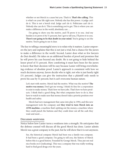whether or not Merck is a cause but you. That's it. **That's the calling.** This is what's on your life right now. Nobody else has this power. A judge can't do it. This is not a bench trial. Judge can't do it. Politicians can't do it. Nobody else can do it. This is something you've got. This is where you can make a difference in the world, absolutely can….

I'm going to show you the motive, and I'll prove it to you. And my burden is to prove it by 51 percent, but I got to tell you, I'll prove it to you. **There's not going to be that doubt in your mind.** You're going to see the motive. You're going to see it clear.

The key to telling a meaningful story is to relate why it matters. Lanier empowers the jury and explains that this is not just a trial, but a chance for the jurors to make a difference in the world. Second, Lanier does what so few lawyers do (but should). He takes on an additional burden of proof and promises that he will prove his case beyond any doubt. He is not going to hide behind the lessor proof of 51 percent. How comforting it must have been for the jurors to know that their decision will be easy because Lanier will bring overwhelming evidence of absolute proof. Lanier's approach is consistent with how we reach decisions anyway. Jurors decide who is right, not who is just barely right (51 percent). Judges can give the instruction that a plaintiff only needs to prove his case by 51 percent, but it can't overcome human nature.

Let's start with motive. Merck had the motive. What was the motive? **The motive was money.** Don't get me wrong. I think it's fine for a corporation to exist to make money. That's how we have jobs. That's how we have products. I think that's a good thing. But what companies have to do is, they have to watch to make sure that money doesn't take a priority position over health and safety.

Merck had new management that came into play in 1994, and this new management took the company and **they tried to turn Merck into an ATM machine**, a machine that's spitting out the money, a machine where they could punch the buttons and they could draw out all the cash they want and need….

#### Discusses weakness

Notice below how Lanier turns a weakness into a strength. He anticipates that the defense counsel will discuss all the good Merck has done. Lanier admits Merck was a great company in the past, but he will show that it is not anymore.

See, the historical company Merck had been was a family-run company. It had been a good company. I'm going to tell you, the history of Merck before this is a good history. Founded by George Merck. They put out real nice books on it [indicating]. This was a company that was really working hard to find good drugs over the years.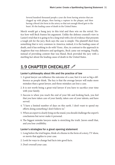Several hundred thousand people a year die from having arteries that are clogged up with plaque, then having a rupture in the plaque, and then having a blood clot form in the artery so that not enough blood gets to the heart. It's the leading cause of death in the United States.

Merck would get a hung jury in this trial and then win on the retrial. Notice how well Beck frames his argument. Unlike the defense counsel's view in Lanier's trial that it is going to be a long trial with a lot of evidence that presents a tough job for the jury, Beck says the case is simple: The plaintiff died from something that is very common in America; indeed, it is the leading cause of death, and it has nothing to do with Vioxx. Also, in contrast to the approach in Angleton that was defensive and apologetic, Beck came out swinging. Finally, instead of providing content that was bland, Beck provided the jury with a startling fact about the leading cause of death in the United States.

# 1.9 CHAPTER CHECKLIST

#### Lanier's philosophy about life and the practice of law

- 1. A great lawyer can influence the outcome of a case, but it is not so big a difference as people think. The key is that the average lawyer will make more mistakes than a great lawyer, and those mistakes can lose a case.
- 2. It is not worth being a great trial lawyer if you have to sacrifice your time with your family.
- 3. Success is when you reach the end of your life and looking back, you feel that you have taken care of your family, taken care of your talents, and have served.
- 4. "I have a limited number of days on this earth. I don't want to spend my efforts doing something I don't believe in."
- 5. When an expert is clearly lying on the stand, you should challenge the expert's conclusions but never make it personal.
- 6. The biggest mistake lawyers make is stretching the truth. Jurors smell that, and you lose credibility.

#### Lanier's strategies for a great opening statement

- 1. Long before the trial begins, think of a theme in the form of a story, TV show, or movie that applies to your case.
- 2. Look for ways to change bad facts into good facts.
- 3. Don't oversell your case.